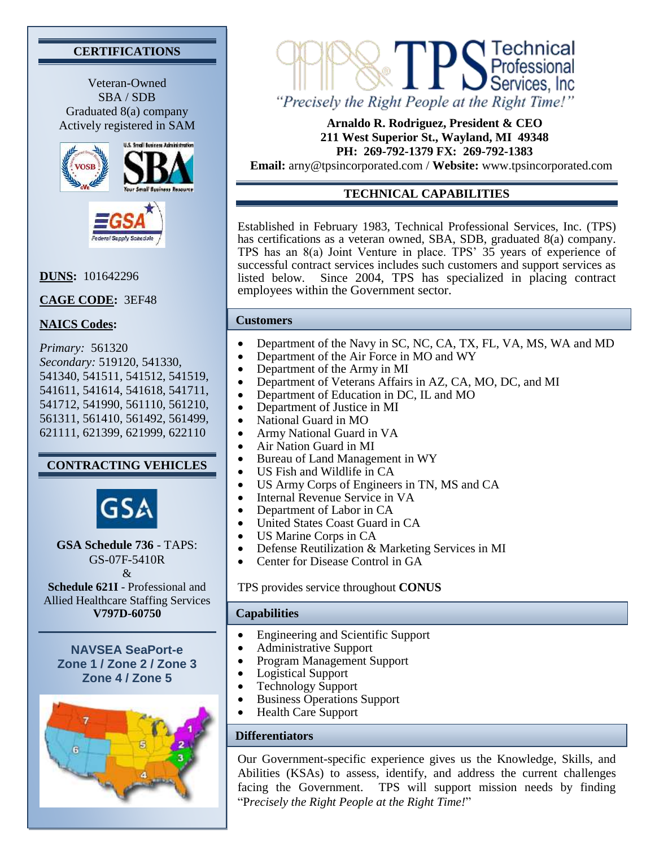# **CERTIFICATIONS**

Veteran-Owned SBA / SDB Graduated 8(a) company Actively registered in SAM





### **DUNS:** 101642296

**CAGE CODE:** 3EF48

## **NAICS Codes:**

*Primary:* 561320 *Secondary:* 519120, 541330, 541340, 541511, 541512, 541519, 541611, 541614, 541618, 541711, 541712, 541990, 561110, 561210, 561311, 561410, 561492, 561499, 621111, 621399, 621999, 622110

## **CONTRACTING VEHICLES**



**GSA Schedule 736** - TAPS: GS-07F-5410R &

**Schedule 621I** - Professional and Allied Healthcare Staffing Services **V797D-60750**

**NAVSEA SeaPort-e Zone 1 / Zone 2 / Zone 3 Zone 4 / Zone 5**





#### **Arnaldo R. Rodriguez, President & CEO 211 West Superior St., Wayland, MI 49348 PH: 269-792-1379 FX: 269-792-1383**

**Email:** [arny@tpsincorporated.com](mailto:arny@tpsincorporated.com) / **Website:** [www.tpsincorporated.com](http://www.tpsincorporated.com/)

# **TECHNICAL CAPABILITIES**

Established in February 1983, Technical Professional Services, Inc. (TPS) has certifications as a veteran owned, SBA, SDB, graduated 8(a) company. TPS has an 8(a) Joint Venture in place. TPS' 35 years of experience of successful contract services includes such customers and support services as listed below. Since 2004, TPS has specialized in placing contract employees within the Government sector.

#### **Customers**

- Department of the Navy in SC, NC, CA, TX, FL, VA, MS, WA and MD
- Department of the Air Force in MO and WY
- Department of the Army in MI
- Department of Veterans Affairs in AZ, CA, MO, DC, and MI
- Department of Education in DC, IL and MO
- Department of Justice in MI
- National Guard in MO
- Army National Guard in VA
- Air Nation Guard in MI
- Bureau of Land Management in WY
- US Fish and Wildlife in CA
- US Army Corps of Engineers in TN, MS and CA
- Internal Revenue Service in VA
- Department of Labor in CA
- United States Coast Guard in CA
- US Marine Corps in CA
- Defense Reutilization & Marketing Services in MI
- Center for Disease Control in GA

TPS provides service throughout **CONUS**

#### **Capabilities**

- Engineering and Scientific Support
- Administrative Support
- Program Management Support
- Logistical Support
- Technology Support
- Business Operations Support
- Health Care Support

### **Differentiators**

Our Government-specific experience gives us the Knowledge, Skills, and Abilities (KSAs) to assess, identify, and address the current challenges facing the Government. TPS will support mission needs by finding "P*recisely the Right People at the Right Time!*"